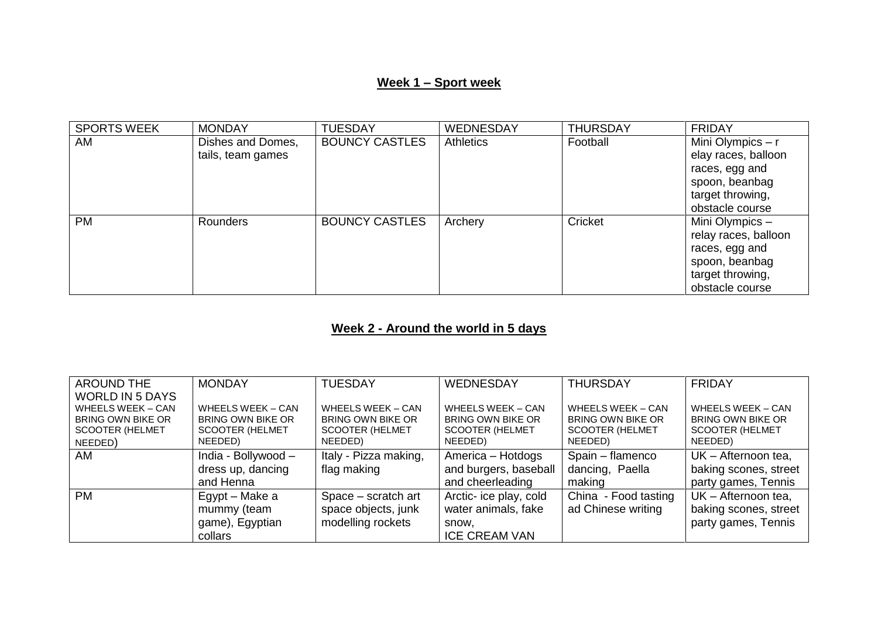# **Week 1 – Sport week**

| <b>SPORTS WEEK</b> | <b>MONDAY</b>     | <b>TUESDAY</b>        | WEDNESDAY        | <b>THURSDAY</b> | <b>FRIDAY</b>        |
|--------------------|-------------------|-----------------------|------------------|-----------------|----------------------|
| AM                 | Dishes and Domes, | <b>BOUNCY CASTLES</b> | <b>Athletics</b> | Football        | Mini Olympics - r    |
|                    | tails, team games |                       |                  |                 | elay races, balloon  |
|                    |                   |                       |                  |                 | races, egg and       |
|                    |                   |                       |                  |                 | spoon, beanbag       |
|                    |                   |                       |                  |                 | target throwing,     |
|                    |                   |                       |                  |                 | obstacle course      |
| <b>PM</b>          | Rounders          | <b>BOUNCY CASTLES</b> | Archery          | Cricket         | Mini Olympics -      |
|                    |                   |                       |                  |                 | relay races, balloon |
|                    |                   |                       |                  |                 | races, egg and       |
|                    |                   |                       |                  |                 | spoon, beanbag       |
|                    |                   |                       |                  |                 | target throwing,     |
|                    |                   |                       |                  |                 | obstacle course      |

# **Week 2 - Around the world in 5 days**

| <b>AROUND THE</b>                                  | <b>MONDAY</b>                               | <b>TUESDAY</b>                              | WEDNESDAY                                   | <b>THURSDAY</b>                             | <b>FRIDAY</b>                                      |
|----------------------------------------------------|---------------------------------------------|---------------------------------------------|---------------------------------------------|---------------------------------------------|----------------------------------------------------|
| <b>WORLD IN 5 DAYS</b>                             |                                             |                                             |                                             |                                             |                                                    |
| <b>WHEELS WEEK - CAN</b>                           | <b>WHEELS WEEK - CAN</b>                    | <b>WHEELS WEEK - CAN</b>                    | WHEELS WEEK - CAN                           | WHEELS WEEK - CAN                           | WHEELS WEEK - CAN                                  |
| <b>BRING OWN BIKE OR</b><br><b>SCOOTER (HELMET</b> | BRING OWN BIKE OR<br><b>SCOOTER (HELMET</b> | BRING OWN BIKE OR<br><b>SCOOTER (HELMET</b> | BRING OWN BIKE OR<br><b>SCOOTER (HELMET</b> | BRING OWN BIKE OR<br><b>SCOOTER (HELMET</b> | <b>BRING OWN BIKE OR</b><br><b>SCOOTER (HELMET</b> |
| NEEDED)                                            | NEEDED)                                     | NEEDED)                                     | NEEDED)                                     | NEEDED)                                     | NEEDED)                                            |
|                                                    |                                             |                                             |                                             |                                             |                                                    |
| AM                                                 | India - Bollywood -                         | Italy - Pizza making,                       | America - Hotdogs                           | Spain - flamenco                            | UK - Afternoon tea,                                |
|                                                    | dress up, dancing                           | flag making                                 | and burgers, baseball                       | dancing, Paella                             | baking scones, street                              |
|                                                    | and Henna                                   |                                             | and cheerleading                            | making                                      | party games, Tennis                                |
| <b>PM</b>                                          | Egypt – Make a                              | Space – scratch art                         | Arctic- ice play, cold                      | China - Food tasting                        | UK - Afternoon tea,                                |
|                                                    | mummy (team                                 | space objects, junk                         | water animals, fake                         | ad Chinese writing                          | baking scones, street                              |
|                                                    | game), Egyptian                             | modelling rockets                           | snow,                                       |                                             | party games, Tennis                                |
|                                                    | collars                                     |                                             | <b>ICE CREAM VAN</b>                        |                                             |                                                    |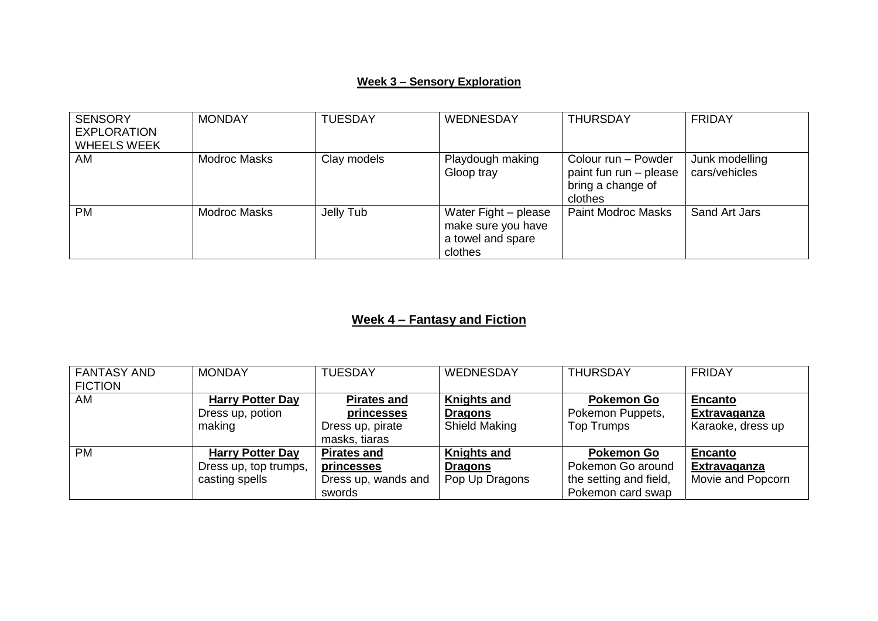### **Week 3 – Sensory Exploration**

| <b>SENSORY</b><br><b>EXPLORATION</b><br><b>WHEELS WEEK</b> | <b>MONDAY</b> | <b>TUESDAY</b> | WEDNESDAY                                                                  | <b>THURSDAY</b>                                                               | <b>FRIDAY</b>                   |
|------------------------------------------------------------|---------------|----------------|----------------------------------------------------------------------------|-------------------------------------------------------------------------------|---------------------------------|
| AM                                                         | Modroc Masks  | Clay models    | Playdough making<br>Gloop tray                                             | Colour run - Powder<br>paint fun run - please<br>bring a change of<br>clothes | Junk modelling<br>cars/vehicles |
| <b>PM</b>                                                  | Modroc Masks  | Jelly Tub      | Water Fight - please<br>make sure you have<br>a towel and spare<br>clothes | <b>Paint Modroc Masks</b>                                                     | Sand Art Jars                   |

# **Week 4 – Fantasy and Fiction**

| <b>FANTASY AND</b> | <b>MONDAY</b>           | <b>TUESDAY</b>      | WEDNESDAY          | <b>THURSDAY</b>        | <b>FRIDAY</b>       |
|--------------------|-------------------------|---------------------|--------------------|------------------------|---------------------|
| <b>FICTION</b>     |                         |                     |                    |                        |                     |
| AM                 | <b>Harry Potter Day</b> | <b>Pirates and</b>  | <b>Knights and</b> | <b>Pokemon Go</b>      | <b>Encanto</b>      |
|                    | Dress up, potion        | <b>princesses</b>   | <b>Dragons</b>     | Pokemon Puppets,       | <b>Extravaganza</b> |
|                    | making                  | Dress up, pirate    | Shield Making      | <b>Top Trumps</b>      | Karaoke, dress up   |
|                    |                         | masks, tiaras       |                    |                        |                     |
| <b>PM</b>          | <b>Harry Potter Day</b> | <b>Pirates and</b>  | <b>Knights and</b> | <b>Pokemon Go</b>      | <b>Encanto</b>      |
|                    | Dress up, top trumps,   | princesses          | <b>Dragons</b>     | Pokemon Go around      | Extravaganza        |
|                    | casting spells          | Dress up, wands and | Pop Up Dragons     | the setting and field, | Movie and Popcorn   |
|                    |                         | swords              |                    | Pokemon card swap      |                     |